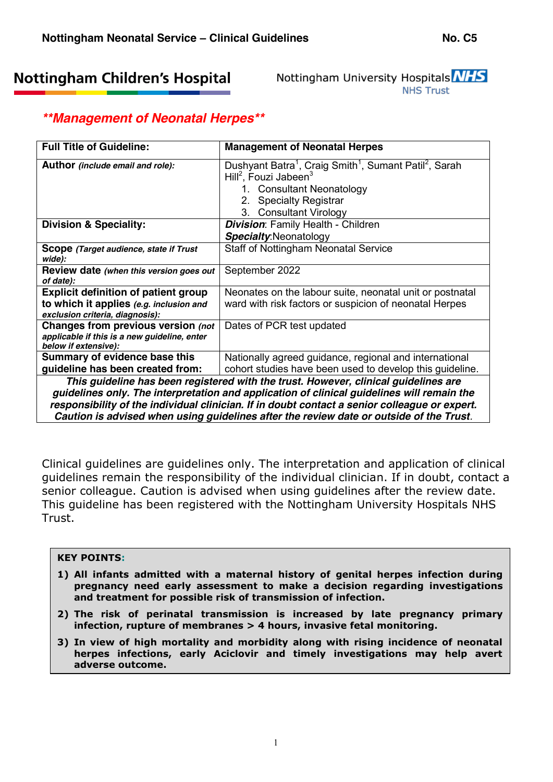# **Nottingham Children's Hospital**

Nottingham University Hospitals NHS **NHS Trust** 

## *\*\*Management of Neonatal Herpes\*\**

| <b>Full Title of Guideline:</b>                                                                            | <b>Management of Neonatal Herpes</b>                                                                                                                                                                                         |  |  |
|------------------------------------------------------------------------------------------------------------|------------------------------------------------------------------------------------------------------------------------------------------------------------------------------------------------------------------------------|--|--|
| Author (include email and role):                                                                           | Dushyant Batra <sup>1</sup> , Craig Smith <sup>1</sup> , Sumant Patil <sup>2</sup> , Sarah<br>Hill <sup>2</sup> , Fouzi Jabeen <sup>3</sup><br>1. Consultant Neonatology<br>2. Specialty Registrar<br>3. Consultant Virology |  |  |
| <b>Division &amp; Speciality:</b>                                                                          | <b>Division: Family Health - Children</b>                                                                                                                                                                                    |  |  |
|                                                                                                            | <b>Specialty: Neonatology</b>                                                                                                                                                                                                |  |  |
| Scope (Target audience, state if Trust<br>wide):                                                           | <b>Staff of Nottingham Neonatal Service</b>                                                                                                                                                                                  |  |  |
| Review date (when this version goes out<br>of date):                                                       | September 2022                                                                                                                                                                                                               |  |  |
| <b>Explicit definition of patient group</b>                                                                | Neonates on the labour suite, neonatal unit or postnatal                                                                                                                                                                     |  |  |
| to which it applies (e.g. inclusion and<br>exclusion criteria, diagnosis):                                 | ward with risk factors or suspicion of neonatal Herpes                                                                                                                                                                       |  |  |
| Changes from previous version (not<br>applicable if this is a new guideline, enter<br>below if extensive): | Dates of PCR test updated                                                                                                                                                                                                    |  |  |
| Summary of evidence base this                                                                              | Nationally agreed guidance, regional and international                                                                                                                                                                       |  |  |
| guideline has been created from:                                                                           | cohort studies have been used to develop this guideline.                                                                                                                                                                     |  |  |
| This guideline has been registered with the trust. However, clinical guidelines are                        |                                                                                                                                                                                                                              |  |  |

*guidelines only. The interpretation and application of clinical guidelines will remain the responsibility of the individual clinician. If in doubt contact a senior colleague or expert. Caution is advised when using guidelines after the review date or outside of the Trust.*

Clinical guidelines are guidelines only. The interpretation and application of clinical guidelines remain the responsibility of the individual clinician. If in doubt, contact a senior colleague. Caution is advised when using guidelines after the review date. This guideline has been registered with the Nottingham University Hospitals NHS Trust.

### **KEY POINTS:**

- **1) All infants admitted with a maternal history of genital herpes infection during pregnancy need early assessment to make a decision regarding investigations and treatment for possible risk of transmission of infection.**
- **2) The risk of perinatal transmission is increased by late pregnancy primary infection, rupture of membranes > 4 hours, invasive fetal monitoring.**
- **3) In view of high mortality and morbidity along with rising incidence of neonatal herpes infections, early Aciclovir and timely investigations may help avert adverse outcome.**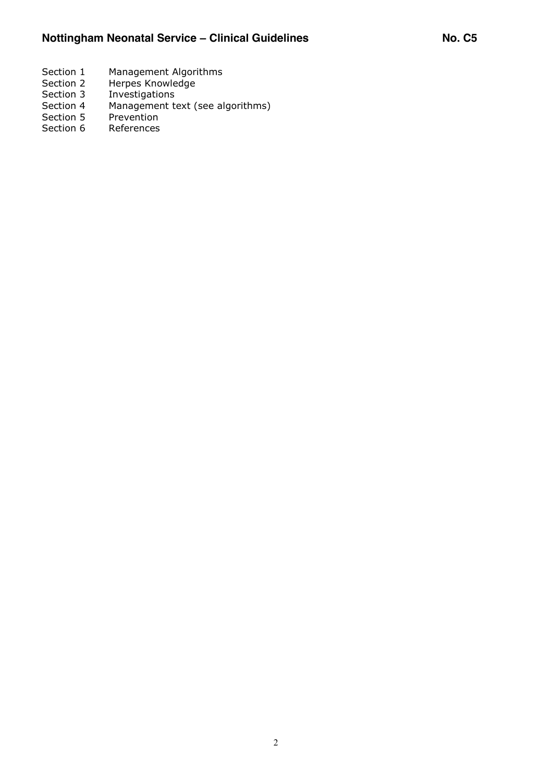- Section 1 Management Algorithms<br>Section 2 Herpes Knowledge
- Herpes Knowledge
- Section 3 Investigations<br>Section 4 Management to
- Section 4 Management text (see algorithms)<br>Section 5 Prevention
- Section 5 Prevention<br>Section 6 References
- **References**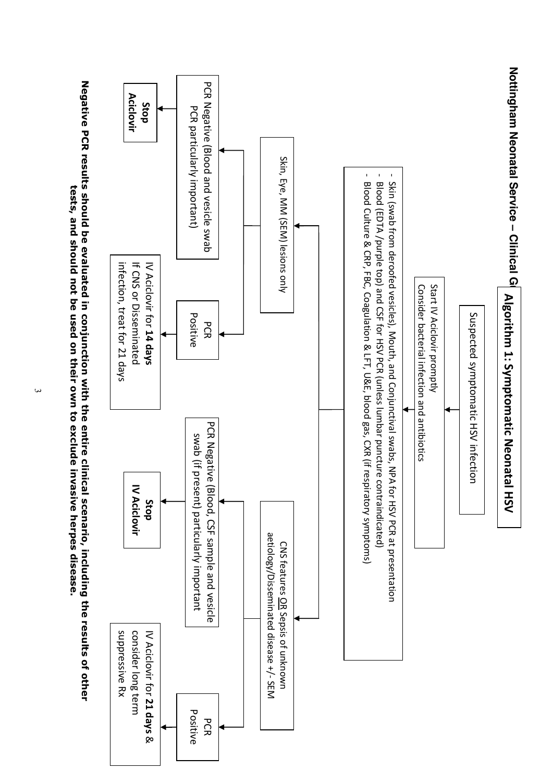

Negative PCR results should be evaluated in conjunction with the entire clinical scenario, including the results of other **Negative PCR results** tests, and should not be used on their own to exclude invasive herpes disease **tests, and should not be used on their should be evaluated in conjunction with the entire clinical scenario, including own to exclude invasive herpes disease. the results of other** 

 $\omega$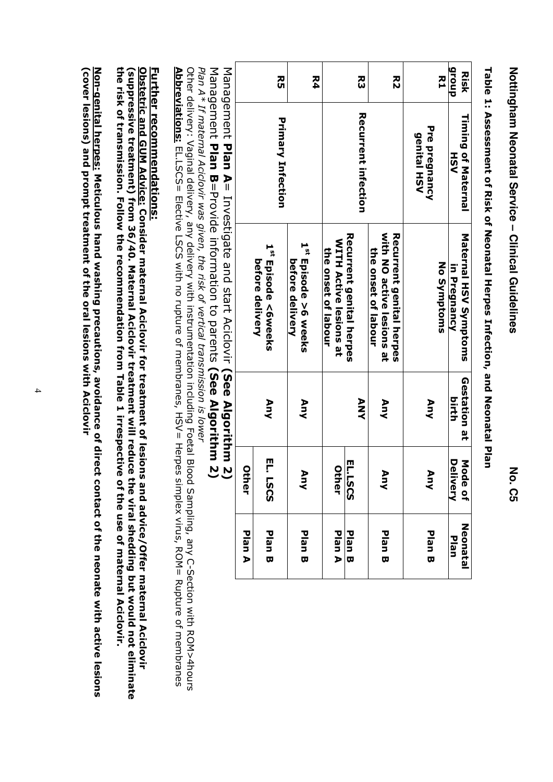**Nottingham Neonatal Service** Nottingham Neonatal Service – Clinical Guidelines **Clinical Guidelines No. C5**

**group Risk R5 R4 R3 R2 R1 Recurrent infection Timing of Maternal Recurrent infection Timing of Maternal Primary Infection Primary Infection** Pre pregnancy **Pre pregnancy genital HSV genital HSV HSV** Maternal HSV Symptoms Recurrent genital herpes with NO active lesions at Recurrent genital herpes **Recurrent genital herpes with NO active lesions at Recurrent genital herpes Maternal HSV Symptoms WITH Active lesions at WITH Active lesions at**  1<sup>st</sup> Episode >6 weeks 1<sup>st</sup> Episode <6weeks the onset of labour the onset of labour **the onset of labour the onset of labour** berore delivery before delivery **before delivery before delivery Episode >6 weeks**  No Symptoms **Episode <6weeks No Symptoms** in Pregnancy **in Pregnancy** Gestation at **Gestation at ANY Any Any Any Any birth** EL. LSCS **Delivery** Mode of **EL. LSCS EL.LSCS EL.LSCS Mode of Neonatal Other Other Any Any Any** Neonatal **Plan A Plan B Plan A Plan B Plan B Plan B Plan B Plan**

Table 1: Assessment of Risk of Neonatal Herpes Infection, and Neonatal Plan **Table 1: Assessment of Risk of Neonatal Herpes Infection, and Neonatal Plan**

Management Management Plan A= Investigate and start Aciclovir (See Algorithm 2) = Investigate and start Aciclovir **(See Algorithm 2)**

Management Management Plan B=Provide information to parents (See Algorithm 2) =Provide information to parents **(See Algorithm 2)**

Plan A\* If maternal Aciclovir was given, the risk of vertical transmission is lower *Plan A\* If maternal Aciclovir was given, the risk of vertical transmission is lower*

Other delivery: Vaginal delivery, any delivery with instrumentation including Foetal Blood Sampling, any C-Section with ROM>4hours Abbreviations: EL.LSCS= Elective LSCS with no rupture of membranes, HSV= Herpes simplex virus, ROM= Rupture of membranes **Abbreviations:** her delivery: Vaginal delivery, any delivery with instrumentation including Foetal Blood Sampling, any C-Section with ROM>4hours EL.LSCS= Elective LSCS with no rupture of membranes, HSV= Herpes simplex virus, ROM= Rupture of membranes

# **Further recommendations: Further recommendations:**

the risk of transmission. Follow the recommendation from Table 1 irrespective of the use of maternal Aciclovir. **the risk of transmission. Follow the** (suppressive treatment) from 36/40. Maternal Aciclovir treatment will reduce the viral shedding but would not eliminate **(suppressive treatment)** <u>Obstetric and GUM Advice:</u> Consider maternal Aciclovir for treatment of lesions and advice/Offer maternal Aciclovir **Obstetric and G UM Advice: from 36/40. Maternal Aciclovir treatment will reduce the viral shedding but would not eliminate Consider maternal Aciclovir recommendation from Table 1 irrespective of the use of maternal Aciclovir. for treatment of lesions and advice/Offer maternal Aciclovir**

(cover lesions) and prompt treatment of the oral lesions with Aciclovir **(cover lesions)** <u>Non-genital herpes:</u> Meticulous hand washing precautions, avoidance of direct contact of the neonate with active lesions **Non-genital herpes: and prompt treatment of the oral lesions with AciclovirMeticulous hand washing precautions, avoidance of direct contact of the neonate with active lesions**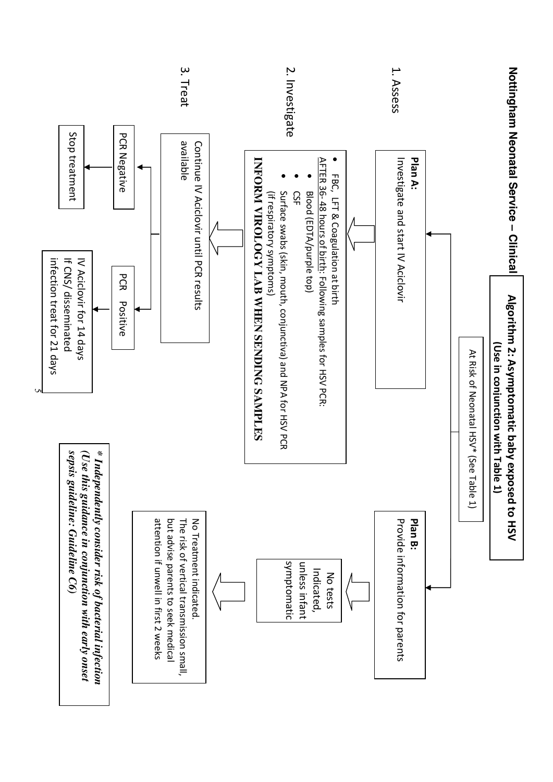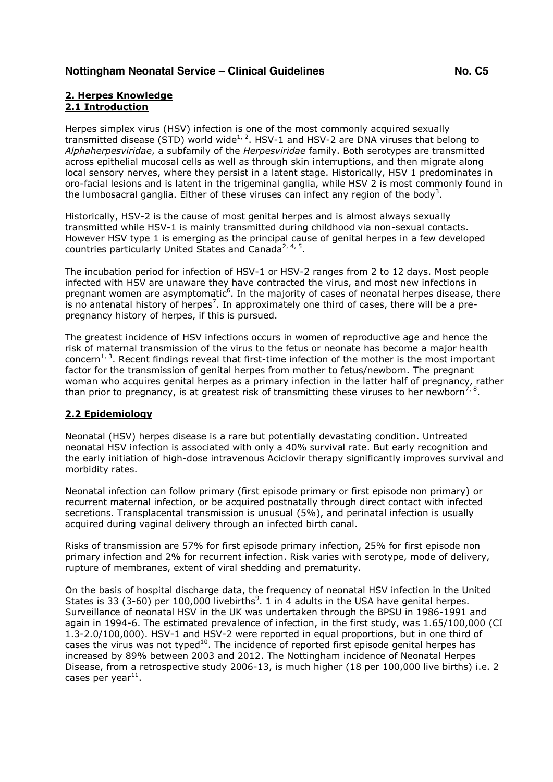### **2. Herpes Knowledge 2.1 Introduction**

Herpes simplex virus (HSV) infection is one of the most commonly acquired sexually transmitted disease (STD) world wide<sup>1, 2</sup>. HSV-1 and HSV-2 are DNA viruses that belong to *Alphaherpesviridae*, a subfamily of the *Herpesviridae* family. Both serotypes are transmitted across epithelial mucosal cells as well as through skin interruptions, and then migrate along local sensory nerves, where they persist in a latent stage. Historically, HSV 1 predominates in oro-facial lesions and is latent in the trigeminal ganglia, while HSV 2 is most commonly found in the lumbosacral ganglia. Either of these viruses can infect any region of the body<sup>3</sup>.

Historically, HSV-2 is the cause of most genital herpes and is almost always sexually transmitted while HSV-1 is mainly transmitted during childhood via non-sexual contacts. However HSV type 1 is emerging as the principal cause of genital herpes in a few developed countries particularly United States and Canada<sup>2, 4, 5</sup>.

The incubation period for infection of HSV-1 or HSV-2 ranges from 2 to 12 days. Most people infected with HSV are unaware they have contracted the virus, and most new infections in pregnant women are asymptomatic<sup>6</sup>. In the majority of cases of neonatal herpes disease, there is no antenatal history of herpes<sup>7</sup>. In approximately one third of cases, there will be a prepregnancy history of herpes, if this is pursued.

The greatest incidence of HSV infections occurs in women of reproductive age and hence the risk of maternal transmission of the virus to the fetus or neonate has become a major health concern<sup>1, 3</sup>. Recent findings reveal that first-time infection of the mother is the most important factor for the transmission of genital herpes from mother to fetus/newborn. The pregnant woman who acquires genital herpes as a primary infection in the latter half of pregnancy, rather than prior to pregnancy, is at greatest risk of transmitting these viruses to her newborn<sup>7, 8</sup>.

### **2.2 Epidemiology**

Neonatal (HSV) herpes disease is a rare but potentially devastating condition. Untreated neonatal HSV infection is associated with only a 40% survival rate. But early recognition and the early initiation of high-dose intravenous Aciclovir therapy significantly improves survival and morbidity rates.

Neonatal infection can follow primary (first episode primary or first episode non primary) or recurrent maternal infection, or be acquired postnatally through direct contact with infected secretions. Transplacental transmission is unusual (5%), and perinatal infection is usually acquired during vaginal delivery through an infected birth canal.

Risks of transmission are 57% for first episode primary infection, 25% for first episode non primary infection and 2% for recurrent infection. Risk varies with serotype, mode of delivery, rupture of membranes, extent of viral shedding and prematurity.

On the basis of hospital discharge data, the frequency of neonatal HSV infection in the United States is 33 (3-60) per 100,000 livebirths<sup>9</sup>. 1 in 4 adults in the USA have genital herpes. Surveillance of neonatal HSV in the UK was undertaken through the BPSU in 1986-1991 and again in 1994-6. The estimated prevalence of infection, in the first study, was 1.65/100,000 (CI 1.3-2.0/100,000). HSV-1 and HSV-2 were reported in equal proportions, but in one third of cases the virus was not typed<sup>10</sup>. The incidence of reported first episode genital herpes has increased by 89% between 2003 and 2012. The Nottingham incidence of Neonatal Herpes Disease, from a retrospective study 2006-13, is much higher (18 per 100,000 live births) i.e. 2 cases per year $^{11}$ .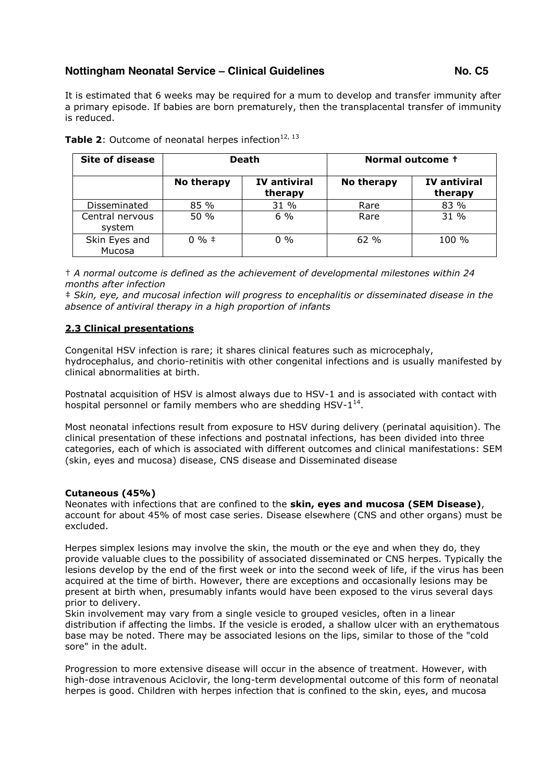It is estimated that 6 weeks may be required for a mum to develop and transfer immunity after a primary episode. If babies are born prematurely, then the transplacental transfer of immunity is reduced.

| <b>Site of disease</b>    | <b>Death</b> |                                | Normal outcome + |                                |
|---------------------------|--------------|--------------------------------|------------------|--------------------------------|
|                           | No therapy   | <b>IV antiviral</b><br>therapy | No therapy       | <b>IV</b> antiviral<br>therapy |
| Disseminated              | 85%          | 31 %                           | Rare             | 83 %                           |
| Central nervous<br>system | 50 %         | 6%                             | Rare             | 31%                            |
| Skin Eyes and<br>Mucosa   | $0\%$ ‡      | $0\%$                          | 62%              | 100 %                          |

**Table 2:** Outcome of neonatal herpes infection<sup>12, 13</sup>

† *A normal outcome is defined as the achievement of developmental milestones within 24 months after infection*

‡ *Skin, eye, and mucosal infection will progress to encephalitis or disseminated disease in the absence of antiviral therapy in a high proportion of infants*

### **2.3 Clinical presentations**

Congenital HSV infection is rare; it shares clinical features such as microcephaly, hydrocephalus, and chorio-retinitis with other congenital infections and is usually manifested by clinical abnormalities at birth.

Postnatal acquisition of HSV is almost always due to HSV-1 and is associated with contact with hospital personnel or family members who are shedding HSV- $1^{14}$ .

Most neonatal infections result from exposure to HSV during delivery (perinatal aquisition). The clinical presentation of these infections and postnatal infections, has been divided into three categories, each of which is associated with different outcomes and clinical manifestations: SEM (skin, eyes and mucosa) disease, CNS disease and Disseminated disease

### **Cutaneous (45%)**

Neonates with infections that are confined to the **skin, eyes and mucosa (SEM Disease)**, account for about 45% of most case series. Disease elsewhere (CNS and other organs) must be excluded.

Herpes simplex lesions may involve the skin, the mouth or the eye and when they do, they provide valuable clues to the possibility of associated disseminated or CNS herpes. Typically the lesions develop by the end of the first week or into the second week of life, if the virus has been acquired at the time of birth. However, there are exceptions and occasionally lesions may be present at birth when, presumably infants would have been exposed to the virus several days prior to delivery.

Skin involvement may vary from a single vesicle to grouped vesicles, often in a linear distribution if affecting the limbs. If the vesicle is eroded, a shallow ulcer with an erythematous base may be noted. There may be associated lesions on the lips, similar to those of the "cold sore" in the adult.

Progression to more extensive disease will occur in the absence of treatment. However, with high-dose intravenous Aciclovir, the long-term developmental outcome of this form of neonatal herpes is good. Children with herpes infection that is confined to the skin, eyes, and mucosa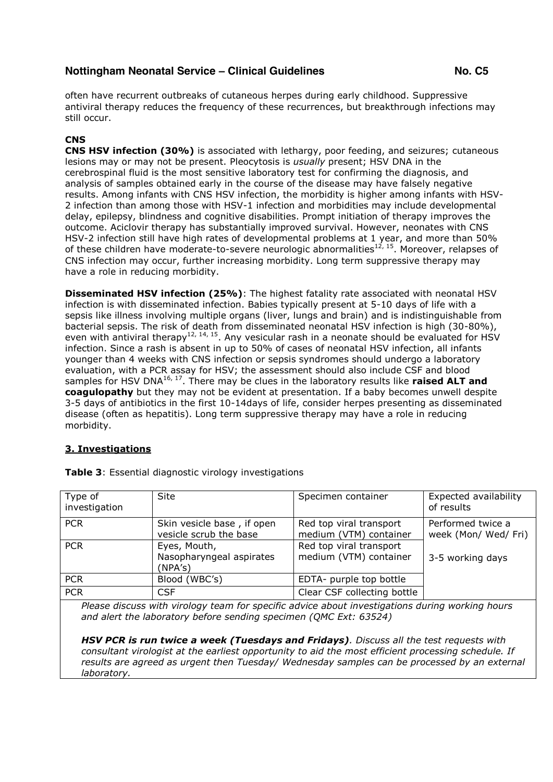often have recurrent outbreaks of cutaneous herpes during early childhood. Suppressive antiviral therapy reduces the frequency of these recurrences, but breakthrough infections may still occur.

### **CNS**

**CNS HSV infection (30%)** is associated with lethargy, poor feeding, and seizures; cutaneous lesions may or may not be present. Pleocytosis is *usually* present; HSV DNA in the cerebrospinal fluid is the most sensitive laboratory test for confirming the diagnosis, and analysis of samples obtained early in the course of the disease may have falsely negative results. Among infants with CNS HSV infection, the morbidity is higher among infants with HSV-2 infection than among those with HSV-1 infection and morbidities may include developmental delay, epilepsy, blindness and cognitive disabilities. Prompt initiation of therapy improves the outcome. Aciclovir therapy has substantially improved survival. However, neonates with CNS HSV-2 infection still have high rates of developmental problems at 1 year, and more than 50% of these children have moderate-to-severe neurologic abnormalities<sup>12, 15</sup>. Moreover, relapses of CNS infection may occur, further increasing morbidity. Long term suppressive therapy may have a role in reducing morbidity.

**Disseminated HSV infection (25%)**: The highest fatality rate associated with neonatal HSV infection is with disseminated infection. Babies typically present at 5-10 days of life with a sepsis like illness involving multiple organs (liver, lungs and brain) and is indistinguishable from bacterial sepsis. The risk of death from disseminated neonatal HSV infection is high (30-80%), even with antiviral therapy<sup>12, 14, 15</sup>. Any vesicular rash in a neonate should be evaluated for HSV infection. Since a rash is absent in up to 50% of cases of neonatal HSV infection, all infants younger than 4 weeks with CNS infection or sepsis syndromes should undergo a laboratory evaluation, with a PCR assay for HSV; the assessment should also include CSF and blood samples for HSV DNA<sup>16, 17</sup>. There may be clues in the laboratory results like **raised ALT and coagulopathy** but they may not be evident at presentation. If a baby becomes unwell despite 3-5 days of antibiotics in the first 10-14days of life, consider herpes presenting as disseminated disease (often as hepatitis). Long term suppressive therapy may have a role in reducing morbidity.

### **3. Investigations**

| Type of<br>investigation                                                                        | <b>Site</b>                                          | Specimen container                                | Expected availability<br>of results       |  |  |
|-------------------------------------------------------------------------------------------------|------------------------------------------------------|---------------------------------------------------|-------------------------------------------|--|--|
| <b>PCR</b>                                                                                      | Skin vesicle base, if open<br>vesicle scrub the base | Red top viral transport<br>medium (VTM) container | Performed twice a<br>week (Mon/ Wed/ Fri) |  |  |
| <b>PCR</b>                                                                                      | Eyes, Mouth,<br>Nasopharyngeal aspirates<br>(NPA's)  | Red top viral transport<br>medium (VTM) container | 3-5 working days                          |  |  |
| <b>PCR</b>                                                                                      | Blood (WBC's)                                        | EDTA- purple top bottle                           |                                           |  |  |
| <b>PCR</b>                                                                                      | <b>CSF</b>                                           | Clear CSF collecting bottle                       |                                           |  |  |
| Dlages discuss with virolesy team for cossitie advise about investigations during working hours |                                                      |                                                   |                                           |  |  |

**Table 3**: Essential diagnostic virology investigations

*Please discuss with virology team for specific advice about investigations during working hours and alert the laboratory before sending specimen (QMC Ext: 63524)*

*HSV PCR is run twice a week (Tuesdays and Fridays). Discuss all the test requests with consultant virologist at the earliest opportunity to aid the most efficient processing schedule. If results are agreed as urgent then Tuesday/ Wednesday samples can be processed by an external laboratory.*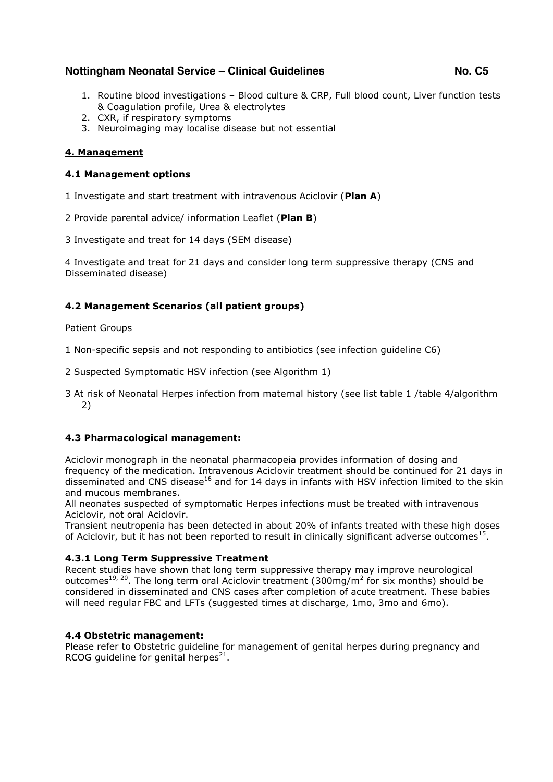- 1. Routine blood investigations Blood culture & CRP, Full blood count, Liver function tests & Coagulation profile, Urea & electrolytes
- 2. CXR, if respiratory symptoms
- 3. Neuroimaging may localise disease but not essential

### **4. Management**

### **4.1 Management options**

- 1 Investigate and start treatment with intravenous Aciclovir (**Plan A**)
- 2 Provide parental advice/ information Leaflet (**Plan B**)
- 3 Investigate and treat for 14 days (SEM disease)

4 Investigate and treat for 21 days and consider long term suppressive therapy (CNS and Disseminated disease)

### **4.2 Management Scenarios (all patient groups)**

Patient Groups

1 Non-specific sepsis and not responding to antibiotics (see infection guideline C6)

- 2 Suspected Symptomatic HSV infection (see Algorithm 1)
- 3 At risk of Neonatal Herpes infection from maternal history (see list table 1 /table 4/algorithm 2)

### **4.3 Pharmacological management:**

Aciclovir monograph in the neonatal pharmacopeia provides information of dosing and frequency of the medication. Intravenous Aciclovir treatment should be continued for 21 days in disseminated and CNS disease<sup>16</sup> and for 14 days in infants with HSV infection limited to the skin and mucous membranes.

All neonates suspected of symptomatic Herpes infections must be treated with intravenous Aciclovir, not oral Aciclovir.

Transient neutropenia has been detected in about 20% of infants treated with these high doses of Aciclovir, but it has not been reported to result in clinically significant adverse outcomes<sup>15</sup>.

### **4.3.1 Long Term Suppressive Treatment**

Recent studies have shown that long term suppressive therapy may improve neurological outcomes<sup>19, 20</sup>. The long term oral Aciclovir treatment (300mg/m<sup>2</sup> for six months) should be considered in disseminated and CNS cases after completion of acute treatment. These babies will need regular FBC and LFTs (suggested times at discharge, 1mo, 3mo and 6mo).

### **4.4 Obstetric management:**

Please refer to Obstetric guideline for management of genital herpes during pregnancy and RCOG quideline for genital herpes<sup>21</sup>.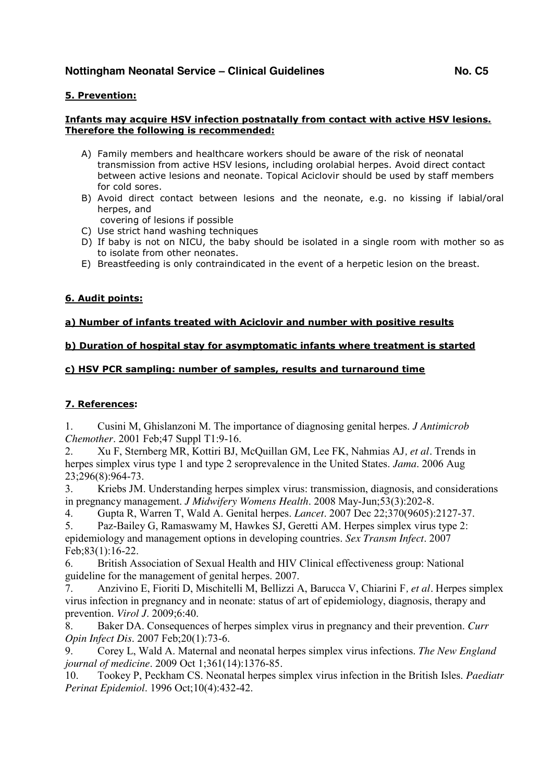### **5. Prevention:**

### **Infants may acquire HSV infection postnatally from contact with active HSV lesions. Therefore the following is recommended:**

- A) Family members and healthcare workers should be aware of the risk of neonatal transmission from active HSV lesions, including orolabial herpes. Avoid direct contact between active lesions and neonate. Topical Aciclovir should be used by staff members for cold sores.
- B) Avoid direct contact between lesions and the neonate, e.g. no kissing if labial/oral herpes, and
- covering of lesions if possible
- C) Use strict hand washing techniques
- D) If baby is not on NICU, the baby should be isolated in a single room with mother so as to isolate from other neonates.
- E) Breastfeeding is only contraindicated in the event of a herpetic lesion on the breast.

### **6. Audit points:**

### **a) Number of infants treated with Aciclovir and number with positive results**

### **b) Duration of hospital stay for asymptomatic infants where treatment is started**

### **c) HSV PCR sampling: number of samples, results and turnaround time**

### **7. References:**

1. Cusini M, Ghislanzoni M. The importance of diagnosing genital herpes. *J Antimicrob Chemother*. 2001 Feb;47 Suppl T1:9-16.

2. Xu F, Sternberg MR, Kottiri BJ, McQuillan GM, Lee FK, Nahmias AJ*, et al.* Trends in herpes simplex virus type 1 and type 2 seroprevalence in the United States. *Jama*. 2006 Aug 23;296(8):964-73.

3. Kriebs JM. Understanding herpes simplex virus: transmission, diagnosis, and considerations in pregnancy management. *J Midwifery Womens Health*. 2008 May-Jun;53(3):202-8.

4. Gupta R, Warren T, Wald A. Genital herpes. *Lancet*. 2007 Dec 22;370(9605):2127-37.

5. Paz-Bailey G, Ramaswamy M, Hawkes SJ, Geretti AM. Herpes simplex virus type 2: epidemiology and management options in developing countries. *Sex Transm Infect*. 2007 Feb;83(1):16-22.

6. British Association of Sexual Health and HIV Clinical effectiveness group: National guideline for the management of genital herpes. 2007.

7. Anzivino E, Fioriti D, Mischitelli M, Bellizzi A, Barucca V, Chiarini F*, et al.* Herpes simplex virus infection in pregnancy and in neonate: status of art of epidemiology, diagnosis, therapy and prevention. *Virol J*. 2009;6:40.

8. Baker DA. Consequences of herpes simplex virus in pregnancy and their prevention. *Curr Opin Infect Dis*. 2007 Feb;20(1):73-6.

9. Corey L, Wald A. Maternal and neonatal herpes simplex virus infections. *The New England journal of medicine*. 2009 Oct 1;361(14):1376-85.

10. Tookey P, Peckham CS. Neonatal herpes simplex virus infection in the British Isles. *Paediatr Perinat Epidemiol*. 1996 Oct;10(4):432-42.